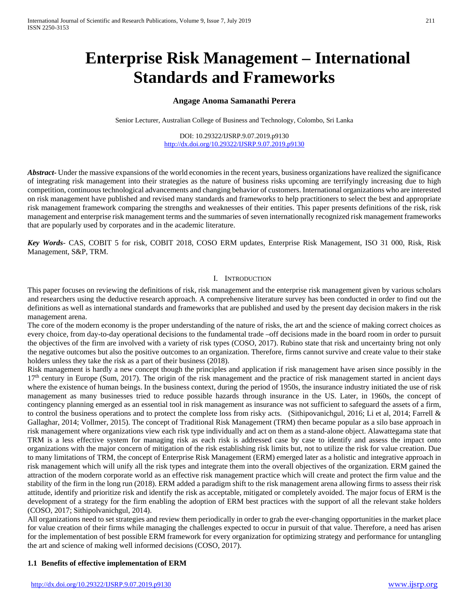# **Enterprise Risk Management – International Standards and Frameworks**

# **Angage Anoma Samanathi Perera**

Senior Lecturer, Australian College of Business and Technology, Colombo, Sri Lanka

DOI: 10.29322/IJSRP.9.07.2019.p9130 <http://dx.doi.org/10.29322/IJSRP.9.07.2019.p9130>

*Abstract***-** Under the massive expansions of the world economies in the recent years, business organizations have realized the significance of integrating risk management into their strategies as the nature of business risks upcoming are terrifyingly increasing due to high competition, continuous technological advancements and changing behavior of customers. International organizations who are interested on risk management have published and revised many standards and frameworks to help practitioners to select the best and appropriate risk management framework comparing the strengths and weaknesses of their entities. This paper presents definitions of the risk, risk management and enterprise risk management terms and the summaries of seven internationally recognized risk management frameworks that are popularly used by corporates and in the academic literature.

*Key Words*- CAS, COBIT 5 for risk, COBIT 2018, COSO ERM updates, Enterprise Risk Management, ISO 31 000, Risk, Risk Management, S&P, TRM.

## I. INTRODUCTION

This paper focuses on reviewing the definitions of risk, risk management and the enterprise risk management given by various scholars and researchers using the deductive research approach. A comprehensive literature survey has been conducted in order to find out the definitions as well as international standards and frameworks that are published and used by the present day decision makers in the risk management arena.

The core of the modern economy is the proper understanding of the nature of risks, the art and the science of making correct choices as every choice, from day-to-day operational decisions to the fundamental trade –off decisions made in the board room in order to pursuit the objectives of the firm are involved with a variety of risk types (COSO, 2017). Rubino state that risk and uncertainty bring not only the negative outcomes but also the positive outcomes to an organization. Therefore, firms cannot survive and create value to their stake holders unless they take the risk as a part of their business (2018).

Risk management is hardly a new concept though the principles and application if risk management have arisen since possibly in the 17<sup>th</sup> century in Europe (Sum, 2017). The origin of the risk management and the practice of risk management started in ancient days where the existence of human beings. In the business context, during the period of 1950s, the insurance industry initiated the use of risk management as many businesses tried to reduce possible hazards through insurance in the US. Later, in 1960s, the concept of contingency planning emerged as an essential tool in risk management as insurance was not sufficient to safeguard the assets of a firm, to control the business operations and to protect the complete loss from risky acts. (Sithipovanichgul, 2016; Li et al, 2014; Farrell & Gallaghar, 2014; Vollmer, 2015). The concept of Traditional Risk Management (TRM) then became popular as a silo base approach in risk management where organizations view each risk type individually and act on them as a stand-alone object. Alawattegama state that TRM is a less effective system for managing risk as each risk is addressed case by case to identify and assess the impact onto organizations with the major concern of mitigation of the risk establishing risk limits but, not to utilize the risk for value creation. Due to many limitations of TRM, the concept of Enterprise Risk Management (ERM) emerged later as a holistic and integrative approach in risk management which will unify all the risk types and integrate them into the overall objectives of the organization. ERM gained the attraction of the modern corporate world as an effective risk management practice which will create and protect the firm value and the stability of the firm in the long run (2018). ERM added a paradigm shift to the risk management arena allowing firms to assess their risk attitude, identify and prioritize risk and identify the risk as acceptable, mitigated or completely avoided. The major focus of ERM is the development of a strategy for the firm enabling the adoption of ERM best practices with the support of all the relevant stake holders (COSO, 2017; Sithipolvanichgul, 2014).

All organizations need to set strategies and review them periodically in order to grab the ever-changing opportunities in the market place for value creation of their firms while managing the challenges expected to occur in pursuit of that value. Therefore, a need has arisen for the implementation of best possible ERM framework for every organization for optimizing strategy and performance for untangling the art and science of making well informed decisions (COSO, 2017).

## **1.1 Benefits of effective implementation of ERM**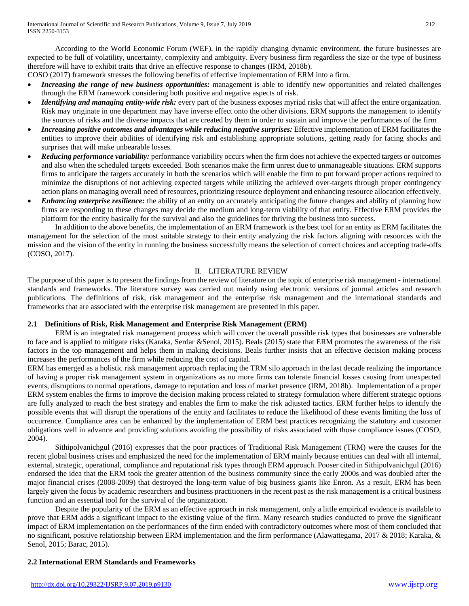According to the World Economic Forum (WEF), in the rapidly changing dynamic environment, the future businesses are expected to be full of volatility, uncertainty, complexity and ambiguity. Every business firm regardless the size or the type of business therefore will have to exhibit traits that drive an effective response to changes (IRM, 2018b).

COSO (2017) framework stresses the following benefits of effective implementation of ERM into a firm.

- *Increasing the range of new business opportunities:* management is able to identify new opportunities and related challenges through the ERM framework considering both positive and negative aspects of risk.
- *Identifying and managing entity-wide risk:* every part of the business exposes myriad risks that will affect the entire organization. Risk may originate in one department may have inverse effect onto the other divisions. ERM supports the management to identify the sources of risks and the diverse impacts that are created by them in order to sustain and improve the performances of the firm
- *Increasing positive outcomes and advantages while reducing negative surprises:* Effective implementation of ERM facilitates the entities to improve their abilities of identifying risk and establishing appropriate solutions, getting ready for facing shocks and surprises that will make unbearable losses.
- **Reducing performance variability:** performance variability occurs when the firm does not achieve the expected targets or outcomes and also when the scheduled targets exceeded. Both scenarios make the firm unrest due to unmanageable situations. ERM supports firms to anticipate the targets accurately in both the scenarios which will enable the firm to put forward proper actions required to minimize the disruptions of not achieving expected targets while utilizing the achieved over-targets through proper contingency action plans on managing overall need of resources, prioritizing resource deployment and enhancing resource allocation effectively.
- *Enhancing enterprise resilience:* the ability of an entity on accurately anticipating the future changes and ability of planning how firms are responding to these changes may decide the medium and long-term viability of that entity. Effective ERM provides the platform for the entity basically for the survival and also the guidelines for thriving the business into success.

In addition to the above benefits, the implementation of an ERM framework is the best tool for an entity as ERM facilitates the management for the selection of the most suitable strategy to their entity analyzing the risk factors aligning with resources with the mission and the vision of the entity in running the business successfully means the selection of correct choices and accepting trade-offs (COSO, 2017).

## II. LITERATURE REVIEW

The purpose of this paper is to present the findings from the review of literature on the topic of enterprise risk management - international standards and frameworks. The literature survey was carried out mainly using electronic versions of journal articles and research publications. The definitions of risk, risk management and the enterprise risk management and the international standards and frameworks that are associated with the enterprise risk management are presented in this paper.

# **2.1 Definitions of Risk, Risk Management and Enterprise Risk Management (ERM)**

ERM is an integrated risk management process which will cover the overall possible risk types that businesses are vulnerable to face and is applied to mitigate risks (Karaka, Serdar &Senol, 2015). Beals (2015) state that ERM promotes the awareness of the risk factors in the top management and helps them in making decisions. Beals further insists that an effective decision making process increases the performances of the firm while reducing the cost of capital.

ERM has emerged as a holistic risk management approach replacing the TRM silo approach in the last decade realizing the importance of having a proper risk management system in organizations as no more firms can tolerate financial losses causing from unexpected events, disruptions to normal operations, damage to reputation and loss of market presence (IRM, 2018b). Implementation of a proper ERM system enables the firms to improve the decision making process related to strategy formulation where different strategic options are fully analyzed to reach the best strategy and enables the firm to make the risk adjusted tactics. ERM further helps to identify the possible events that will disrupt the operations of the entity and facilitates to reduce the likelihood of these events limiting the loss of occurrence. Compliance area can be enhanced by the implementation of ERM best practices recognizing the statutory and customer obligations well in advance and providing solutions avoiding the possibility of risks associated with those compliance issues (COSO, 2004).

Sithipolvanichgul (2016) expresses that the poor practices of Traditional Risk Management (TRM) were the causes for the recent global business crises and emphasized the need for the implementation of ERM mainly because entities can deal with all internal, external, strategic, operational, compliance and reputational risk types through ERM approach. Pooser cited in Sithipolvanichgul (2016) endorsed the idea that the ERM took the greater attention of the business community since the early 2000s and was doubled after the major financial crises (2008-2009) that destroyed the long-term value of big business giants like Enron. As a result, ERM has been largely given the focus by academic researchers and business practitioners in the recent past as the risk management is a critical business function and an essential tool for the survival of the organization.

Despite the popularity of the ERM as an effective approach in risk management, only a little empirical evidence is available to prove that ERM adds a significant impact to the existing value of the firm. Many research studies conducted to prove the significant impact of ERM implementation on the performances of the firm ended with contradictory outcomes where most of them concluded that no significant, positive relationship between ERM implementation and the firm performance (Alawattegama, 2017 & 2018; Karaka, & Senol, 2015; Barac, 2015).

# **2.2 International ERM Standards and Frameworks**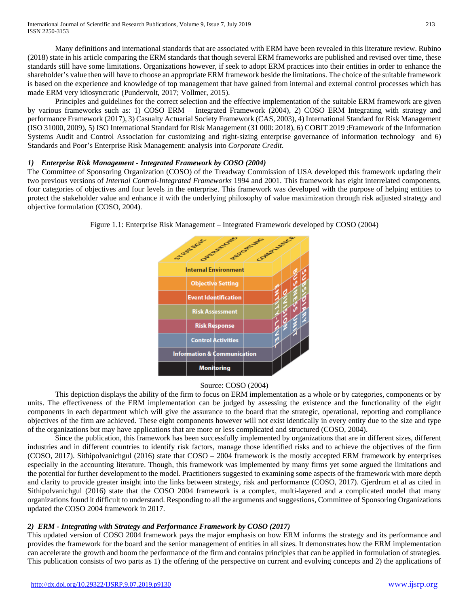Many definitions and international standards that are associated with ERM have been revealed in this literature review. Rubino (2018) state in his article comparing the ERM standards that though several ERM frameworks are published and revised over time, these standards still have some limitations. Organizations however, if seek to adopt ERM practices into their entities in order to enhance the shareholder's value then will have to choose an appropriate ERM framework beside the limitations. The choice of the suitable framework is based on the experience and knowledge of top management that have gained from internal and external control processes which has made ERM very idiosyncratic (Pundervolt, 2017; Vollmer, 2015).

Principles and guidelines for the correct selection and the effective implementation of the suitable ERM framework are given by various frameworks such as: 1) COSO ERM – Integrated Framework (2004), 2) COSO ERM Integrating with strategy and performance Framework (2017), 3) Casualty Actuarial Society Framework (CAS, 2003), 4) International Standard for Risk Management (ISO 31000, 2009), 5) ISO International Standard for Risk Management (31 000: 2018), 6) COBIT 2019 :Framework of the Information Systems Audit and Control Association for customizing and right-sizing enterprise governance of information technology and 6) Standards and Poor's Enterprise Risk Management: analysis into *Corporate Credit*.

# *1) Enterprise Risk Management - Integrated Framework by COSO (2004)*

The Committee of Sponsoring Organization (COSO) of the Treadway Commission of USA developed this framework updating their two previous versions of *Internal Control-Integrated Frameworks* 1994 and 2001. This framework has eight interrelated components, four categories of objectives and four levels in the enterprise. This framework was developed with the purpose of helping entities to protect the stakeholder value and enhance it with the underlying philosophy of value maximization through risk adjusted strategy and objective formulation (COSO, 2004).



Figure 1.1: Enterprise Risk Management – Integrated Framework developed by COSO (2004)

# Source: COSO (2004)

This depiction displays the ability of the firm to focus on ERM implementation as a whole or by categories, components or by units. The effectiveness of the ERM implementation can be judged by assessing the existence and the functionality of the eight components in each department which will give the assurance to the board that the strategic, operational, reporting and compliance objectives of the firm are achieved. These eight components however will not exist identically in every entity due to the size and type of the organizations but may have applications that are more or less complicated and structured (COSO, 2004).

Since the publication, this framework has been successfully implemented by organizations that are in different sizes, different industries and in different countries to identify risk factors, manage those identified risks and to achieve the objectives of the firm (COSO, 2017). Sithipolvanichgul (2016) state that COSO – 2004 framework is the mostly accepted ERM framework by enterprises especially in the accounting literature. Though, this framework was implemented by many firms yet some argued the limitations and the potential for further development to the model. Practitioners suggested to examining some aspects of the framework with more depth and clarity to provide greater insight into the links between strategy, risk and performance (COSO, 2017). Gjerdrum et al as cited in Sithipolvanichgul (2016) state that the COSO 2004 framework is a complex, multi-layered and a complicated model that many organizations found it difficult to understand. Responding to all the arguments and suggestions, Committee of Sponsoring Organizations updated the COSO 2004 framework in 2017.

# *2) ERM - Integrating with Strategy and Performance Framework by COSO (2017)*

This updated version of COSO 2004 framework pays the major emphasis on how ERM informs the strategy and its performance and provides the framework for the board and the senior management of entities in all sizes. It demonstrates how the ERM implementation can accelerate the growth and boom the performance of the firm and contains principles that can be applied in formulation of strategies. This publication consists of two parts as 1) the offering of the perspective on current and evolving concepts and 2) the applications of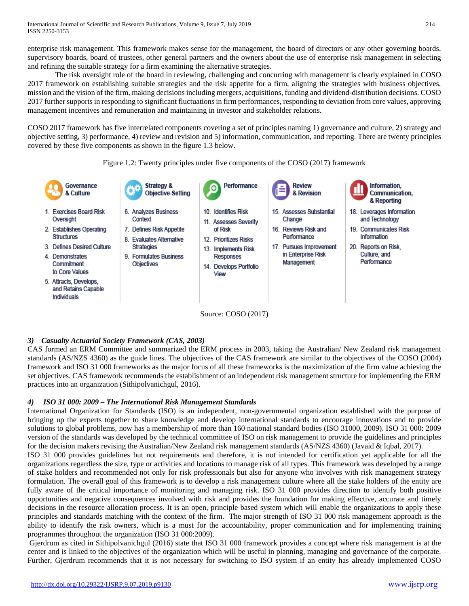enterprise risk management. This framework makes sense for the management, the board of directors or any other governing boards, supervisory boards, board of trustees, other general partners and the owners about the use of enterprise risk management in selecting and refining the suitable strategy for a firm examining the alternative strategies.

The risk oversight role of the board in reviewing, challenging and concurring with management is clearly explained in COSO 2017 framework on establishing suitable strategies and the risk appetite for a firm, aligning the strategies with business objectives, mission and the vision of the firm, making decisions including mergers, acquisitions, funding and dividend-distribution decisions. COSO 2017 further supports in responding to significant fluctuations in firm performances, responding to deviation from core values, approving management incentives and remuneration and maintaining in investor and stakeholder relations.

COSO 2017 framework has five interrelated components covering a set of principles naming 1) governance and culture, 2) strategy and objective setting, 3) performance, 4) review and revision and 5) information, communication, and reporting. There are twenty principles covered by these five components as shown in the figure 1.3 below.





# *3) Casualty Actuarial Society Framework (CAS, 2003)*

CAS formed an ERM Committee and summarized the ERM process in 2003, taking the Australian/ New Zealand risk management standards (AS/NZS 4360) as the guide lines. The objectives of the CAS framework are similar to the objectives of the COSO (2004) framework and ISO 31 000 frameworks as the major focus of all these frameworks is the maximization of the firm value achieving the set objectives. CAS framework recommends the establishment of an independent risk management structure for implementing the ERM practices into an organization (Sithipolvanichgul, 2016).

# *4) ISO 31 000: 2009 – The International Risk Management Standards*

International Organization for Standards (ISO) is an independent, non-governmental organization established with the purpose of bringing up the experts together to share knowledge and develop international standards to encourage innovations and to provide solutions to global problems, now has a membership of more than 160 national standard bodies (ISO 31000, 2009). ISO 31 000: 2009 version of the standards was developed by the technical committee of ISO on risk management to provide the guidelines and principles for the decision makers revising the Australian/New Zealand risk management standards (AS/NZS 4360) (Javaid & Iqbal, 2017). ISO 31 000 provides guidelines but not requirements and therefore, it is not intended for certification yet applicable for all the organizations regardless the size, type or activities and locations to manage risk of all types. This framework was developed by a range of stake holders and recommended not only for risk professionals but also for anyone who involves with risk management strategy formulation. The overall goal of this framework is to develop a risk management culture where all the stake holders of the entity are fully aware of the critical importance of monitoring and managing risk. ISO 31 000 provides direction to identify both positive opportunities and negative consequences involved with risk and provides the foundation for making effective, accurate and timely decisions in the resource allocation process. It is an open, principle based system which will enable the organizations to apply these principles and standards matching with the context of the firm. The major strength of ISO 31 000 risk management approach is the ability to identify the risk owners, which is a must for the accountability, proper communication and for implementing training programmes throughout the organization (ISO 31 000:2009).

Gjerdrum as cited in Sithipolvanichgul (2016) state that ISO 31 000 framework provides a concept where risk management is at the center and is linked to the objectives of the organization which will be useful in planning, managing and governance of the corporate. Further, Gjerdrum recommends that it is not necessary for switching to ISO system if an entity has already implemented COSO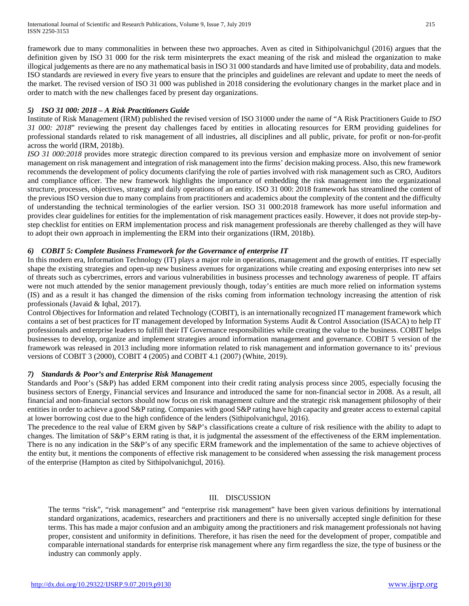framework due to many commonalities in between these two approaches. Aven as cited in Sithipolvanichgul (2016) argues that the definition given by ISO 31 000 for the risk term misinterprets the exact meaning of the risk and mislead the organization to make illogical judgements as there are no any mathematical basis in ISO 31 000 standards and have limited use of probability, data and models. ISO standards are reviewed in every five years to ensure that the principles and guidelines are relevant and update to meet the needs of the market. The revised version of ISO 31 000 was published in 2018 considering the evolutionary changes in the market place and in order to match with the new challenges faced by present day organizations.

# *5) ISO 31 000: 2018 – A Risk Practitioners Guide*

Institute of Risk Management (IRM) published the revised version of ISO 31000 under the name of "A Risk Practitioners Guide to *ISO 31 000: 2018*" reviewing the present day challenges faced by entities in allocating resources for ERM providing guidelines for professional standards related to risk management of all industries, all disciplines and all public, private, for profit or non-for-profit across the world (IRM, 2018b).

*ISO 31 000:2018* provides more strategic direction compared to its previous version and emphasize more on involvement of senior management on risk management and integration of risk management into the firms' decision making process. Also, this new framework recommends the development of policy documents clarifying the role of parties involved with risk management such as CRO, Auditors and compliance officer. The new framework highlights the importance of embedding the risk management into the organizational structure, processes, objectives, strategy and daily operations of an entity. ISO 31 000: 2018 framework has streamlined the content of the previous ISO version due to many complains from practitioners and academics about the complexity of the content and the difficulty of understanding the technical terminologies of the earlier version. ISO 31 000:2018 framework has more useful information and provides clear guidelines for entities for the implementation of risk management practices easily. However, it does not provide step-bystep checklist for entities on ERM implementation process and risk management professionals are thereby challenged as they will have to adopt their own approach in implementing the ERM into their organizations (IRM, 2018b).

# *6) COBIT 5: Complete Business Framework for the Governance of enterprise IT*

In this modern era, Information Technology (IT) plays a major role in operations, management and the growth of entities. IT especially shape the existing strategies and open-up new business avenues for organizations while creating and exposing enterprises into new set of threats such as cybercrimes, errors and various vulnerabilities in business processes and technology awareness of people. IT affairs were not much attended by the senior management previously though, today's entities are much more relied on information systems (IS) and as a result it has changed the dimension of the risks coming from information technology increasing the attention of risk professionals (Javaid & Iqbal, 2017).

Control Objectives for Information and related Technology (COBIT), is an internationally recognized IT management framework which contains a set of best practices for IT management developed by Information Systems Audit & Control Association (ISACA) to help IT professionals and enterprise leaders to fulfill their IT Governance responsibilities while creating the value to the business. COBIT helps businesses to develop, organize and implement strategies around information management and governance. COBIT 5 version of the framework was released in 2013 including more information related to risk management and information governance to its' previous versions of COBIT 3 (2000), COBIT 4 (2005) and COBIT 4.1 (2007) (White, 2019).

# *7) Standards & Poor's and Enterprise Risk Management*

Standards and Poor's (S&P) has added ERM component into their credit rating analysis process since 2005, especially focusing the business sectors of Energy, Financial services and Insurance and introduced the same for non-financial sector in 2008. As a result, all financial and non-financial sectors should now focus on risk management culture and the strategic risk management philosophy of their entities in order to achieve a good S&P rating. Companies with good S&P rating have high capacity and greater access to external capital at lower borrowing cost due to the high confidence of the lenders (Sithipolvanichgul, 2016).

The precedence to the real value of ERM given by S&P's classifications create a culture of risk resilience with the ability to adapt to changes. The limitation of S&P's ERM rating is that, it is judgmental the assessment of the effectiveness of the ERM implementation. There is no any indication in the S&P's of any specific ERM framework and the implementation of the same to achieve objectives of the entity but, it mentions the components of effective risk management to be considered when assessing the risk management process of the enterprise (Hampton as cited by Sithipolvanichgul, 2016).

# III. DISCUSSION

The terms "risk", "risk management" and "enterprise risk management" have been given various definitions by international standard organizations, academics, researchers and practitioners and there is no universally accepted single definition for these terms. This has made a major confusion and an ambiguity among the practitioners and risk management professionals not having proper, consistent and uniformity in definitions. Therefore, it has risen the need for the development of proper, compatible and comparable international standards for enterprise risk management where any firm regardless the size, the type of business or the industry can commonly apply.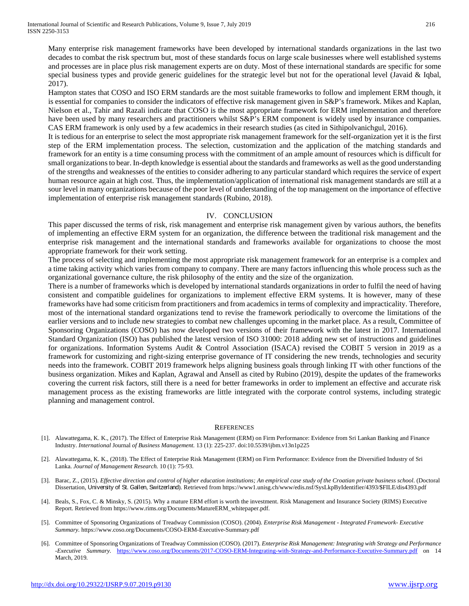Many enterprise risk management frameworks have been developed by international standards organizations in the last two decades to combat the risk spectrum but, most of these standards focus on large scale businesses where well established systems and processes are in place plus risk management experts are on duty. Most of these international standards are specific for some special business types and provide generic guidelines for the strategic level but not for the operational level (Javaid & Iqbal, 2017).

Hampton states that COSO and ISO ERM standards are the most suitable frameworks to follow and implement ERM though, it is essential for companies to consider the indicators of effective risk management given in S&P's framework. Mikes and Kaplan, Nielson et al., Tahir and Razali indicate that COSO is the most appropriate framework for ERM implementation and therefore have been used by many researchers and practitioners whilst S&P's ERM component is widely used by insurance companies. CAS ERM framework is only used by a few academics in their research studies (as cited in Sithipolvanichgul, 2016).

It is tedious for an enterprise to select the most appropriate risk management framework for the self-organization yet it is the first step of the ERM implementation process. The selection, customization and the application of the matching standards and framework for an entity is a time consuming process with the commitment of an ample amount of resources which is difficult for small organizations to bear. In-depth knowledge is essential about the standards and frameworks as well as the good understanding of the strengths and weaknesses of the entities to consider adhering to any particular standard which requires the service of expert human resource again at high cost. Thus, the implementation/application of international risk management standards are still at a sour level in many organizations because of the poor level of understanding of the top management on the importance of effective implementation of enterprise risk management standards (Rubino, 2018).

## IV. CONCLUSION

This paper discussed the terms of risk, risk management and enterprise risk management given by various authors, the benefits of implementing an effective ERM system for an organization, the difference between the traditional risk management and the enterprise risk management and the international standards and frameworks available for organizations to choose the most appropriate framework for their work setting.

The process of selecting and implementing the most appropriate risk management framework for an enterprise is a complex and a time taking activity which varies from company to company. There are many factors influencing this whole process such as the organizational governance culture, the risk philosophy of the entity and the size of the organization.

There is a number of frameworks which is developed by international standards organizations in order to fulfil the need of having consistent and compatible guidelines for organizations to implement effective ERM systems. It is however, many of these frameworks have had some criticism from practitioners and from academics in terms of complexity and impracticality. Therefore, most of the international standard organizations tend to revise the framework periodically to overcome the limitations of the earlier versions and to include new strategies to combat new challenges upcoming in the market place. As a result, Committee of Sponsoring Organizations (COSO) has now developed two versions of their framework with the latest in 2017. International Standard Organization (ISO) has published the latest version of ISO 31000: 2018 adding new set of instructions and guidelines for organizations. Information Systems Audit & Control Association (ISACA) revised the COBIT 5 version in 2019 as a framework for customizing and right-sizing enterprise governance of IT considering the new trends, technologies and security needs into the framework. COBIT 2019 framework helps aligning business goals through linking IT with other functions of the business organization. Mikes and Kaplan, Agrawal and Ansell as cited by Rubino (2019), despite the updates of the frameworks covering the current risk factors, still there is a need for better frameworks in order to implement an effective and accurate risk management process as the existing frameworks are little integrated with the corporate control systems, including strategic planning and management control.

#### **REFERENCES**

- [1]. Alawattegama, K. K., (2017). The Effect of Enterprise Risk Management (ERM) on Firm Performance: Evidence from Sri Lankan Banking and Finance Industry. *International* Journal *of Business Management.* 13 (1): 225-237. doi:10.5539/ijbm.v13n1p225
- [2]. Alawattegama, K. K., (2018). The Effect of Enterprise Risk Management (ERM) on Firm Performance: Evidence from the Diversified Industry of Sri Lanka. *Journal of Management Research.* 10 (1): 75-93.
- [3]. Barac, Z., (2015). *Effective direction and control of higher education institutions; An empirical case study of the Croatian private business school*. (Doctoral Dissertation, University of St. Gallen, Switzerland). Retrieved from https://www1.unisg.ch/www/edis.nsf/SysLkpByIdentifier/4393/\$FILE/dis4393.pdf
- [4]. Beals, S., Fox, C. & Minsky, S. (2015). Why a mature ERM effort is worth the investment. Risk Management and Insurance Society (RIMS) Executive Report. Retrieved from https://www.rims.org/Documents/MatureERM\_whitepaper.pdf.
- [5]. Committee of Sponsoring Organizations of Treadway Commission (COSO). (2004). *Enterprise Risk Management - Integrated Framework- Executive Summary.* https://www.coso.org/Documents/COSO-ERM-Executive-Summary.pdf
- [6]. Committee of Sponsoring Organizations of Treadway Commission (COSO). (2017). *Enterprise Risk Management: Integrating with Strategy and Performance -Executive Summary.* <https://www.coso.org/Documents/2017-COSO-ERM-Integrating-with-Strategy-and-Performance-Executive-Summary.pdf> on 14 March, 2019*.*